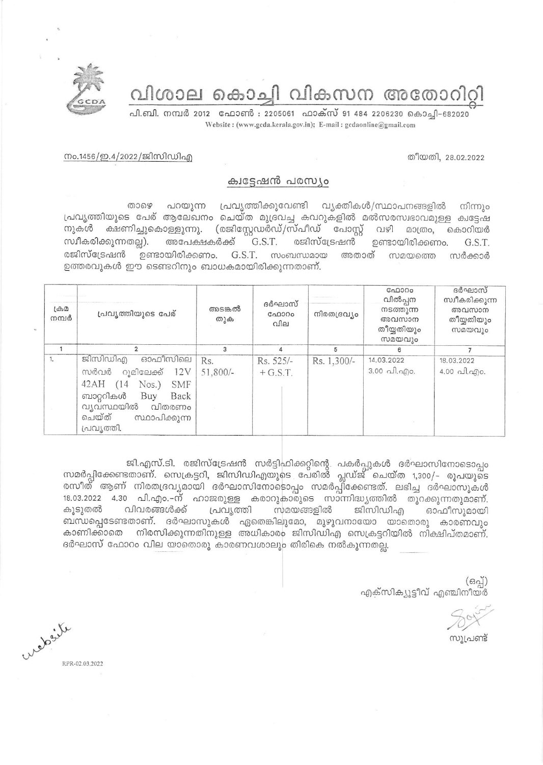ിശാല കൊച്ചി വികസന അതോറിറ്റി



പി.ബി. നമ്പർ 2012 ഫോൺ : 2205061 ഫാക്സ് 91 484 2206230 കൊച്ചി-682020 Website: (www.gcda.kerala.gov.in); E-mail: gcdaonline@gmail.com

തീയതി, 28.02.2022

## നം.1456/ഇ.4/2022/ജിസിഡിഎ

## ക്വട്ടേഷൻ പരസ്യം

പറയുന്ന പ്രവൃത്തിക്കുവേണ്ടി വ്യക്തികൾ/സ്ഥാപനങ്ങളിൽ ைசை നിന്നും പ്രവ്യത്തിയുടെ പേര് ആലേഖനം ചെയ്ത മുദ്രവച്ച കവറുകളിൽ മൽസരസ്വഭാവമുള്ള ക്വട്ടേഷ നുകൾ ക്ഷണിച്ചുകൊള്ളുന്നു. (രജിസ്റ്റേഡർഡ്/സ്പീഡ് പോസ്റ്റ് വഴി മാത്രം. കൊറിയർ സ്വീകരിക്കുന്നതല്ല). രജിസ്ട്രേഷൻ അപേക്ഷകർക്ക് G.S.T. ഉണ്ടായിരിക്കണം. G.S.T. രജിസ്ട്രേഷൻ ഉണ്ടായിരിക്കണം. G.S.T. സംബന്ധമായ അതാത് സമയത്തെ സർക്കാർ ഉത്തരവുകൾ ഈ ടെണ്ടറിനും ബാധകമായിരിക്കുന്നതാണ്.

| $L \oplus \Omega$<br>നമ്പർ | പ്രവൃത്തിയുടെ പേര്                                                                                                                                                                  | അടങ്കൽ<br>തുക     | ദർഘാസ്<br>ഫോറം<br>വില   | നിരതദ്രവ്യം | GAD300<br>വിൽപ്പന<br>നടത്തുന്ന<br>അവസാന<br>തീയ്യതിയും<br>സമയവും | ദർഘാസ്<br>സ്വീകരിക്കുന്ന<br>അവസാന<br>തീയ്യതിയും<br>സമയവും     |
|----------------------------|-------------------------------------------------------------------------------------------------------------------------------------------------------------------------------------|-------------------|-------------------------|-------------|-----------------------------------------------------------------|---------------------------------------------------------------|
|                            |                                                                                                                                                                                     | 3                 | 4                       | 5           | 6                                                               |                                                               |
| 1.                         | ജിസിഡിഎ<br>ഓഫീസിലെ<br>റൂമിലേക്ക് 12V<br>സർവർ<br>42AH<br>$Nos.$ )<br><b>SMF</b><br>(14)<br>ബാറ്ററികൾ<br>Buy<br>Back<br>വ്യവസ്ഥയിൽ<br>വിതരണം<br>ചെയ്ത്<br>സ്ഥാപിക്കുന്ന<br>പ്രവൃത്തി. | Rs.<br>$51,800/-$ | Rs. 525/-<br>$+ G.S.T.$ | Rs. 1,300/- | 14.03.2022<br>$3.00 \text{ }\hat{}1.\hat{}$                     | 18.03.2022<br>$4.00 \text{ }\Omega$ . $\Delta f$ ) $\Omega$ . |

ജി.എസ്.ടി. രജിസ്ട്രേഷൻ സർട്ടിഫിക്കറ്റിന്റെ പകർപ്പുകൾ ദർഘാസിനോടൊപ്പം<br>സമർപ്പിക്കേണ്ടതാണ്. സെക്രട്ടറി, ജിസിഡിഎയുടെ പേരിൽ പ്ലഡ്ജ് ചെയ്ത 1,300/- രൂപയുടെ രസീത് ആണ് നിരതദ്രവ്യമായി ദർഘാസിനോടൊപ്പം സമർപ്പ്ിക്കേണ്ടത്. ലഭിച്ച ദർഘാസുകൾ 18.03.2022 4.30 പി.എം.–ന് ഹാജരുള്ള കരാറുകാരുടെ സാന്നിദ്ധ്യത്തിൽ തുറക്കുന്നതുമാണ്. വിവരങ്ങൾക്ക് സമയങ്ങളിൽ കൂടുതൽ പ്രവ്യത്തി ജിസിഡിഎ ഓഫീസുമായി ബന്ധപ്പെടേണ്ടതാണ്. ദർഘാസുകൾ ഏതെങ്കിലുമോ, മുഴുവനായോ യാതൊരു കാരണവും കാണിക്കാതെ നിരസിക്കുന്നതിനുള്ള അധികാരം ജിസിഡിഎ സെക്രട്ടറിയിൽ നിക്ഷിപ്തമാണ്. ദർഘാസ് ഫോറം വില യാതൊരു കാരണവശാലും തിരികെ നൽകുന്നതല്ല.

> $(65)$ എക്സിക്യൂട്ടീവ് എഞ്ചിനീയർ

സൂപ്രണ്ട്

retaile RPR-02.03.2022